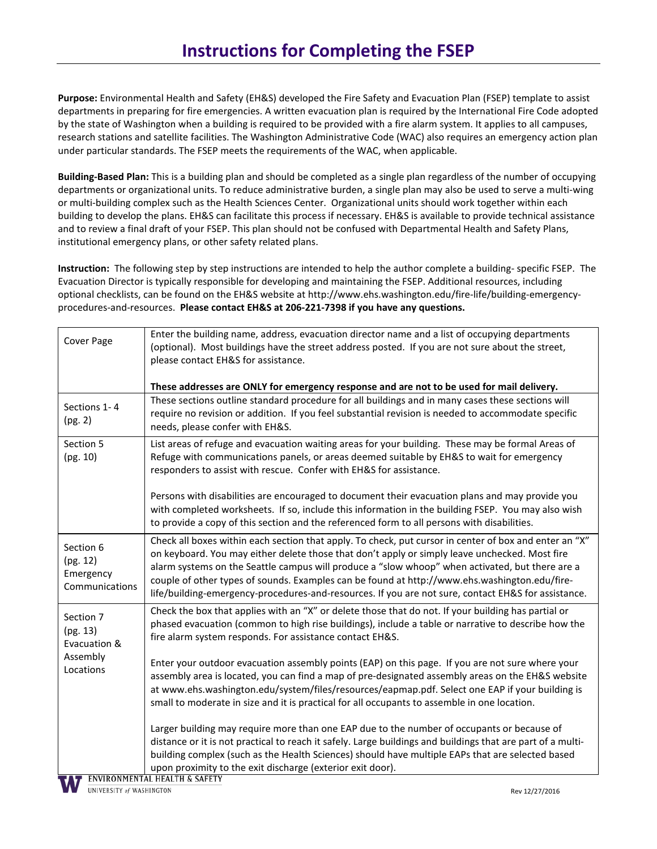**Purpose:** Environmental Health and Safety (EH&S) developed the Fire Safety and Evacuation Plan (FSEP) template to assist departments in preparing for fire emergencies. A written evacuation plan is required by the International Fire Code adopted by the state of Washington when a building is required to be provided with a fire alarm system. It applies to all campuses, research stations and satellite facilities. The Washington Administrative Code (WAC) also requires an emergency action plan under particular standards. The FSEP meets the requirements of the WAC, when applicable.

**Building-Based Plan:** This is a building plan and should be completed as a single plan regardless of the number of occupying departments or organizational units. To reduce administrative burden, a single plan may also be used to serve a multi-wing or multi-building complex such as the Health Sciences Center. Organizational units should work together within each building to develop the plans. EH&S can facilitate this process if necessary. EH&S is available to provide technical assistance and to review a final draft of your FSEP. This plan should not be confused with Departmental Health and Safety Plans, institutional emergency plans, or other safety related plans.

**Instruction:** The following step by step instructions are intended to help the author complete a building- specific FSEP. The Evacuation Director is typically responsible for developing and maintaining the FSEP. Additional resources, including optional checklists, can be found on the EH&S website at http://www.ehs.washington.edu/fire-life/building-emergencyprocedures-and-resources. **Please contact EH&S at 206-221-7398 if you have any questions.** 

| Cover Page                                                     | Enter the building name, address, evacuation director name and a list of occupying departments                                                                                                                                                                                                                                                                                                                                                                                                                      |  |  |
|----------------------------------------------------------------|---------------------------------------------------------------------------------------------------------------------------------------------------------------------------------------------------------------------------------------------------------------------------------------------------------------------------------------------------------------------------------------------------------------------------------------------------------------------------------------------------------------------|--|--|
|                                                                | (optional). Most buildings have the street address posted. If you are not sure about the street,                                                                                                                                                                                                                                                                                                                                                                                                                    |  |  |
|                                                                | please contact EH&S for assistance.                                                                                                                                                                                                                                                                                                                                                                                                                                                                                 |  |  |
|                                                                |                                                                                                                                                                                                                                                                                                                                                                                                                                                                                                                     |  |  |
|                                                                | These addresses are ONLY for emergency response and are not to be used for mail delivery.                                                                                                                                                                                                                                                                                                                                                                                                                           |  |  |
| Sections 1-4<br>(pg. 2)                                        | These sections outline standard procedure for all buildings and in many cases these sections will<br>require no revision or addition. If you feel substantial revision is needed to accommodate specific<br>needs, please confer with EH&S.                                                                                                                                                                                                                                                                         |  |  |
| Section 5<br>(pg. 10)                                          | List areas of refuge and evacuation waiting areas for your building. These may be formal Areas of<br>Refuge with communications panels, or areas deemed suitable by EH&S to wait for emergency<br>responders to assist with rescue. Confer with EH&S for assistance.                                                                                                                                                                                                                                                |  |  |
|                                                                | Persons with disabilities are encouraged to document their evacuation plans and may provide you<br>with completed worksheets. If so, include this information in the building FSEP. You may also wish<br>to provide a copy of this section and the referenced form to all persons with disabilities.                                                                                                                                                                                                                |  |  |
| Section 6<br>(pg. 12)<br>Emergency<br>Communications           | Check all boxes within each section that apply. To check, put cursor in center of box and enter an "X"<br>on keyboard. You may either delete those that don't apply or simply leave unchecked. Most fire<br>alarm systems on the Seattle campus will produce a "slow whoop" when activated, but there are a<br>couple of other types of sounds. Examples can be found at http://www.ehs.washington.edu/fire-<br>life/building-emergency-procedures-and-resources. If you are not sure, contact EH&S for assistance. |  |  |
| Section 7<br>(pg. 13)<br>Evacuation &<br>Assembly<br>Locations | Check the box that applies with an "X" or delete those that do not. If your building has partial or<br>phased evacuation (common to high rise buildings), include a table or narrative to describe how the<br>fire alarm system responds. For assistance contact EH&S.                                                                                                                                                                                                                                              |  |  |
|                                                                | Enter your outdoor evacuation assembly points (EAP) on this page. If you are not sure where your<br>assembly area is located, you can find a map of pre-designated assembly areas on the EH&S website<br>at www.ehs.washington.edu/system/files/resources/eapmap.pdf. Select one EAP if your building is<br>small to moderate in size and it is practical for all occupants to assemble in one location.                                                                                                            |  |  |
|                                                                | Larger building may require more than one EAP due to the number of occupants or because of<br>distance or it is not practical to reach it safely. Large buildings and buildings that are part of a multi-<br>building complex (such as the Health Sciences) should have multiple EAPs that are selected based<br>upon proximity to the exit discharge (exterior exit door).                                                                                                                                         |  |  |
|                                                                | <b>T</b> ENVIRONMENTAL HEALTH & SAFETY                                                                                                                                                                                                                                                                                                                                                                                                                                                                              |  |  |